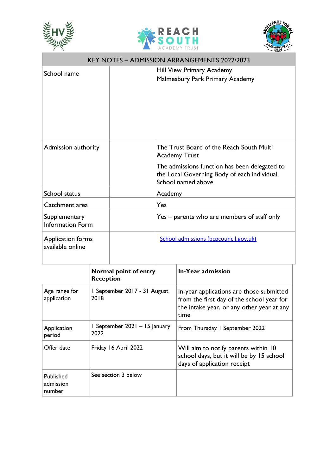





| <b>KEY NOTES - ADMISSION ARRANGEMENTS 2022/2023</b> |  |                                                                                                                                                                                        |  |
|-----------------------------------------------------|--|----------------------------------------------------------------------------------------------------------------------------------------------------------------------------------------|--|
| School name                                         |  | Hill View Primary Academy<br>Malmesbury Park Primary Academy                                                                                                                           |  |
| Admission authority                                 |  | The Trust Board of the Reach South Multi<br><b>Academy Trust</b><br>The admissions function has been delegated to<br>the Local Governing Body of each individual<br>School named above |  |
| School status                                       |  | Academy                                                                                                                                                                                |  |
| Catchment area                                      |  | Yes                                                                                                                                                                                    |  |
| Supplementary<br><b>Information Form</b>            |  | Yes – parents who are members of staff only                                                                                                                                            |  |
| Application forms<br>available online               |  | School admissions (bcpcouncil.gov.uk)                                                                                                                                                  |  |

|                                  | Normal point of entry<br><b>Reception</b> | In-Year admission                                                                                                                          |
|----------------------------------|-------------------------------------------|--------------------------------------------------------------------------------------------------------------------------------------------|
| Age range for<br>application     | I September 2017 - 31 August<br>2018      | In-year applications are those submitted<br>from the first day of the school year for<br>the intake year, or any other year at any<br>time |
| Application<br>period            | 1 September 2021 - 15 January<br>2022     | From Thursday I September 2022                                                                                                             |
| Offer date                       | Friday 16 April 2022                      | Will aim to notify parents within 10<br>school days, but it will be by 15 school<br>days of application receipt                            |
| Published<br>admission<br>number | See section 3 below                       |                                                                                                                                            |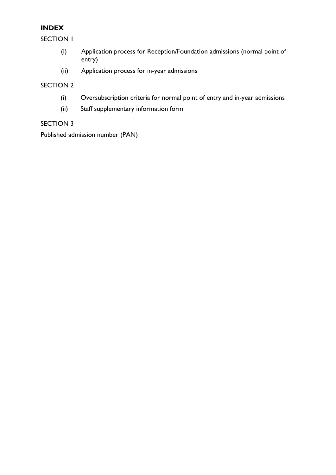## **INDEX**

SECTION 1

- (i) Application process for Reception/Foundation admissions (normal point of entry)
- (ii) Application process for in-year admissions

## SECTION 2

- (i) Oversubscription criteria for normal point of entry and in-year admissions
- (ii) Staff supplementary information form

## SECTION 3

Published admission number (PAN)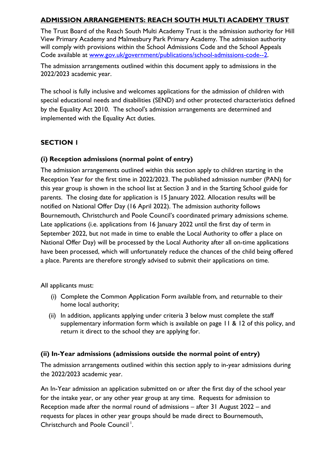## **ADMISSION ARRANGEMENTS: REACH SOUTH MULTI ACADEMY TRUST**

The Trust Board of the Reach South Multi Academy Trust is the admission authority for Hill View Primary Academy and Malmesbury Park Primary Academy. The admission authority will comply with provisions within the School Admissions Code and the School Appeals Code available at [www.gov.uk/government/publications/school-admissions-code--2.](http://www.gov.uk/government/publications/school-admissions-code--2)

The admission arrangements outlined within this document apply to admissions in the 2022/2023 academic year.

The school is fully inclusive and welcomes applications for the admission of children with special educational needs and disabilities (SEND) and other protected characteristics defined by the Equality Act 2010. The school's admission arrangements are determined and implemented with the Equality Act duties.

## **SECTION 1**

## **(i) Reception admissions (normal point of entry)**

The admission arrangements outlined within this section apply to children starting in the Reception Year for the first time in 2022/2023. The published admission number (PAN) for this year group is shown in the school list at Section 3 and in the Starting School guide for parents. The closing date for application is 15 January 2022. Allocation results will be notified on National Offer Day (16 April 2022). The admission authority follows Bournemouth, Christchurch and Poole Council's coordinated primary admissions scheme. Late applications (i.e. applications from 16 January 2022 until the first day of term in September 2022, but not made in time to enable the Local Authority to offer a place on National Offer Day) will be processed by the Local Authority after all on-time applications have been processed, which will unfortunately reduce the chances of the child being offered a place. Parents are therefore strongly advised to submit their applications on time.

All applicants must:

- (i) Complete the Common Application Form available from, and returnable to their home local authority;
- (ii) In addition, applicants applying under criteria 3 below must complete the staff supplementary information form which is available on page 11 & 12 of this policy, and return it direct to the school they are applying for.

## **(ii) In-Year admissions (admissions outside the normal point of entry)**

The admission arrangements outlined within this section apply to in-year admissions during the 2022/2023 academic year.

An In-Year admission an application submitted on or after the first day of the school year for the intake year, or any other year group at any time. Requests for admission to Reception made after the normal round of admissions – after 31 August 2022 – and requests for places in other year groups should be made direct to Bournemouth, Christchurch and Poole Council<sup>1</sup>.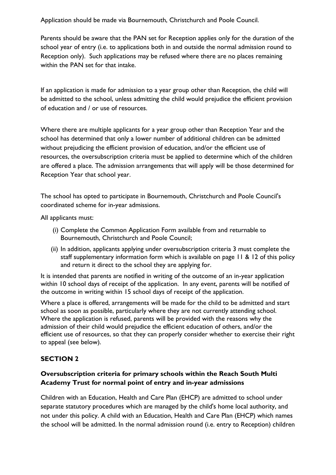Application should be made via Bournemouth, Christchurch and Poole Council.

Parents should be aware that the PAN set for Reception applies only for the duration of the school year of entry (i.e. to applications both in and outside the normal admission round to Reception only). Such applications may be refused where there are no places remaining within the PAN set for that intake.

If an application is made for admission to a year group other than Reception, the child will be admitted to the school, unless admitting the child would prejudice the efficient provision of education and / or use of resources.

Where there are multiple applicants for a year group other than Reception Year and the school has determined that only a lower number of additional children can be admitted without prejudicing the efficient provision of education, and/or the efficient use of resources, the oversubscription criteria must be applied to determine which of the children are offered a place. The admission arrangements that will apply will be those determined for Reception Year that school year.

The school has opted to participate in Bournemouth, Christchurch and Poole Council's coordinated scheme for in-year admissions.

All applicants must:

- (i) Complete the Common Application Form available from and returnable to Bournemouth, Christchurch and Poole Council;
- (ii) In addition, applicants applying under oversubscription criteria 3 must complete the staff supplementary information form which is available on page 11 & 12 of this policy and return it direct to the school they are applying for.

It is intended that parents are notified in writing of the outcome of an in-year application within 10 school days of receipt of the application. In any event, parents will be notified of the outcome in writing within 15 school days of receipt of the application.

Where a place is offered, arrangements will be made for the child to be admitted and start school as soon as possible, particularly where they are not currently attending school. Where the application is refused, parents will be provided with the reasons why the admission of their child would prejudice the efficient education of others, and/or the efficient use of resources, so that they can properly consider whether to exercise their right to appeal (see below).

## **SECTION 2**

## **Oversubscription criteria for primary schools within the Reach South Multi Academy Trust for normal point of entry and in-year admissions**

Children with an Education, Health and Care Plan (EHCP) are admitted to school under separate statutory procedures which are managed by the child's home local authority, and not under this policy. A child with an Education, Health and Care Plan (EHCP) which names the school will be admitted. In the normal admission round (i.e. entry to Reception) children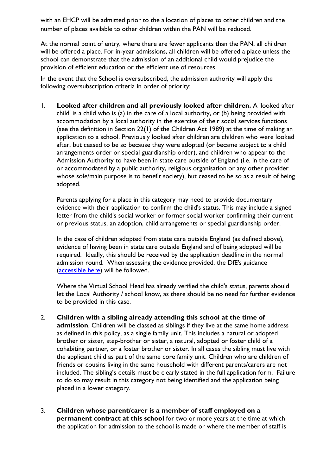with an EHCP will be admitted prior to the allocation of places to other children and the number of places available to other children within the PAN will be reduced.

At the normal point of entry, where there are fewer applicants than the PAN, all children will be offered a place. For in-year admissions, all children will be offered a place unless the school can demonstrate that the admission of an additional child would prejudice the provision of efficient education or the efficient use of resources.

In the event that the School is oversubscribed, the admission authority will apply the following oversubscription criteria in order of priority:

1. **Looked after children and all previously looked after children.** A 'looked after child' is a child who is (a) in the care of a local authority, or (b) being provided with accommodation by a local authority in the exercise of their social services functions (see the definition in Section 22(1) of the Children Act 1989) at the time of making an application to a school. Previously looked after children are children who were looked after, but ceased to be so because they were adopted (or became subject to a child arrangements order or special guardianship order), and children who appear to the Admission Authority to have been in state care outside of England (i.e. in the care of or accommodated by a public authority, religious organisation or any other provider whose sole/main purpose is to benefit society), but ceased to be so as a result of being adopted.

Parents applying for a place in this category may need to provide documentary evidence with their application to confirm the child's status. This may include a signed letter from the child's social worker or former social worker confirming their current or previous status, an adoption, child arrangements or special guardianship order.

In the case of children adopted from state care outside England (as defined above), evidence of having been in state care outside England and of being adopted will be required. Ideally, this should be received by the application deadline in the normal admission round. When assessing the evidence provided, the DfE's guidance [\(accessible here\)](about:blank) will be followed.

Where the Virtual School Head has already verified the child's status, parents should let the Local Authority / school know, as there should be no need for further evidence to be provided in this case.

- 2. **Children with a sibling already attending this school at the time of admission**. Children will be classed as siblings if they live at the same home address as defined in this policy, as a single family unit. This includes a natural or adopted brother or sister, step-brother or sister, a natural, adopted or foster child of a cohabiting partner, or a foster brother or sister. In all cases the sibling must live with the applicant child as part of the same core family unit. Children who are children of friends or cousins living in the same household with different parents/carers are not included. The sibling's details must be clearly stated in the full application form. Failure to do so may result in this category not being identified and the application being placed in a lower category.
- 3. **Children whose parent/carer is a member of staff employed on a permanent contract at this school** for two or more years at the time at which the application for admission to the school is made or where the member of staff is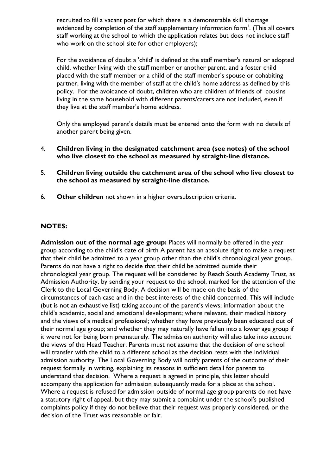recruited to fill a vacant post for which there is a demonstrable skill shortage evidenced by completion of the staff supplementary information form<sup>1</sup>. (This all covers staff working at the school to which the application relates but does not include staff who work on the school site for other employers);

For the avoidance of doubt a 'child' is defined at the staff member's natural or adopted child, whether living with the staff member or another parent, and a foster child placed with the staff member or a child of the staff member's spouse or cohabiting partner, living with the member of staff at the child's home address as defined by this policy. For the avoidance of doubt, children who are children of friends of cousins living in the same household with different parents/carers are not included, even if they live at the staff member's home address.

Only the employed parent's details must be entered onto the form with no details of another parent being given.

- 4. **Children living in the designated catchment area (see notes) of the school who live closest to the school as measured by straight-line distance.**
- 5. **Children living outside the catchment area of the school who live closest to the school as measured by straight-line distance.**
- 6. **Other children** not shown in a higher oversubscription criteria.

#### **NOTES:**

**Admission out of the normal age group:** Places will normally be offered in the year group according to the child's date of birth A parent has an absolute right to make a request that their child be admitted to a year group other than the child's chronological year group. Parents do not have a right to decide that their child be admitted outside their chronological year group. The request will be considered by Reach South Academy Trust, as Admission Authority, by sending your request to the school, marked for the attention of the Clerk to the Local Governing Body. A decision will be made on the basis of the circumstances of each case and in the best interests of the child concerned. This will include (but is not an exhaustive list) taking account of the parent's views; information about the child's academic, social and emotional development; where relevant, their medical history and the views of a medical professional; whether they have previously been educated out of their normal age group; and whether they may naturally have fallen into a lower age group if it were not for being born prematurely. The admission authority will also take into account the views of the Head Teacher. Parents must not assume that the decision of one school will transfer with the child to a different school as the decision rests with the individual admission authority. The Local Governing Body will notify parents of the outcome of their request formally in writing, explaining its reasons in sufficient detail for parents to understand that decision. Where a request is agreed in principle, this letter should accompany the application for admission subsequently made for a place at the school. Where a request is refused for admission outside of normal age group parents do not have a statutory right of appeal, but they may submit a complaint under the school's published complaints policy if they do not believe that their request was properly considered, or the decision of the Trust was reasonable or fair.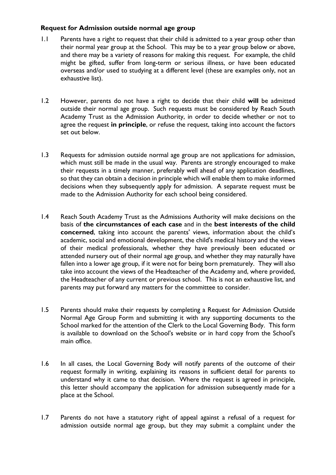## **Request for Admission outside normal age group**

- 1.1 Parents have a right to request that their child is admitted to a year group other than their normal year group at the School. This may be to a year group below or above, and there may be a variety of reasons for making this request. For example, the child might be gifted, suffer from long-term or serious illness, or have been educated overseas and/or used to studying at a different level (these are examples only, not an exhaustive list).
- 1.2 However, parents do not have a right to decide that their child **will** be admitted outside their normal age group. Such requests must be considered by Reach South Academy Trust as the Admission Authority, in order to decide whether or not to agree the request **in principle**, or refuse the request, taking into account the factors set out below.
- 1.3 Requests for admission outside normal age group are not applications for admission, which must still be made in the usual way. Parents are strongly encouraged to make their requests in a timely manner, preferably well ahead of any application deadlines, so that they can obtain a decision in principle which will enable them to make informed decisions when they subsequently apply for admission. A separate request must be made to the Admission Authority for each school being considered.
- 1.4 Reach South Academy Trust as the Admissions Authority will make decisions on the basis of **the circumstances of each case** and in the **best interests of the child concerned**, taking into account the parents' views, information about the child's academic, social and emotional development, the child's medical history and the views of their medical professionals, whether they have previously been educated or attended nursery out of their normal age group, and whether they may naturally have fallen into a lower age group, if it were not for being born prematurely. They will also take into account the views of the Headteacher of the Academy and, where provided, the Headteacher of any current or previous school. This is not an exhaustive list, and parents may put forward any matters for the committee to consider.
- 1.5 Parents should make their requests by completing a Request for Admission Outside Normal Age Group Form and submitting it with any supporting documents to the School marked for the attention of the Clerk to the Local Governing Body. This form is available to download on the School's website or in hard copy from the School's main office.
- 1.6 In all cases, the Local Governing Body will notify parents of the outcome of their request formally in writing, explaining its reasons in sufficient detail for parents to understand why it came to that decision. Where the request is agreed in principle, this letter should accompany the application for admission subsequently made for a place at the School.
- 1.7 Parents do not have a statutory right of appeal against a refusal of a request for admission outside normal age group, but they may submit a complaint under the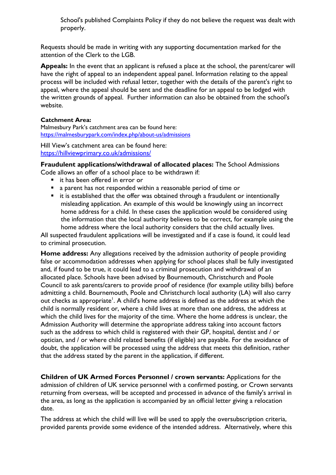School's published Complaints Policy if they do not believe the request was dealt with properly.

Requests should be made in writing with any supporting documentation marked for the attention of the Clerk to the LGB.

**Appeals:** In the event that an applicant is refused a place at the school, the parent/carer will have the right of appeal to an independent appeal panel. Information relating to the appeal process will be included with refusal letter, together with the details of the parent's right to appeal, where the appeal should be sent and the deadline for an appeal to be lodged with the written grounds of appeal. Further information can also be obtained from the school's website.

#### **Catchment Area:**

Malmesbury Park's catchment area can be found here: <https://malmesburypark.com/index.php/about-us/admissions>

Hill View's catchment area can be found here: <https://hillviewprimary.co.uk/admissions/>

**Fraudulent applications/withdrawal of allocated places:** The School Admissions Code allows an offer of a school place to be withdrawn if:

- - it has been offered in error or
	- a parent has not responded within a reasonable period of time or
	- it is established that the offer was obtained through a fraudulent or intentionally misleading application. An example of this would be knowingly using an incorrect home address for a child. In these cases the application would be considered using the information that the local authority believes to be correct, for example using the home address where the local authority considers that the child actually lives.

All suspected fraudulent applications will be investigated and if a case is found, it could lead to criminal prosecution.

**Home address:** Any allegations received by the admission authority of people providing false or accommodation addresses when applying for school places shall be fully investigated and, if found to be true, it could lead to a criminal prosecution and withdrawal of an allocated place. Schools have been advised by Bournemouth, Christchurch and Poole Council to ask parents/carers to provide proof of residence (for example utility bills) before admitting a child. Bournemouth, Poole and Christchurch local authority (LA) will also carry out checks as appropriate<sup>1</sup>. A child's home address is defined as the address at which the child is normally resident or, where a child lives at more than one address, the address at which the child lives for the majority of the time. Where the home address is unclear, the Admission Authority will determine the appropriate address taking into account factors such as the address to which child is registered with their GP, hospital, dentist and / or optician, and / or where child related benefits (if eligible) are payable. For the avoidance of doubt, the application will be processed using the address that meets this definition, rather that the address stated by the parent in the application, if different.

**Children of UK Armed Forces Personnel / crown servants:** Applications for the admission of children of UK service personnel with a confirmed posting, or Crown servants returning from overseas, will be accepted and processed in advance of the family's arrival in the area, as long as the application is accompanied by an official letter giving a relocation date.

The address at which the child will live will be used to apply the oversubscription criteria, provided parents provide some evidence of the intended address. Alternatively, where this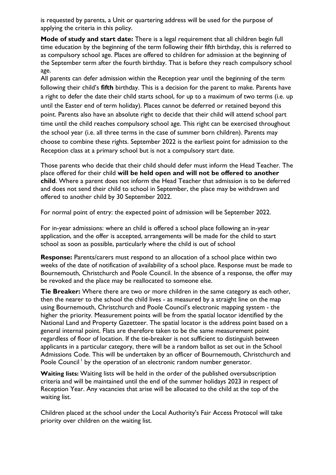is requested by parents, a Unit or quartering address will be used for the purpose of applying the criteria in this policy.

**Mode of study and start date:** There is a legal requirement that all children begin full time education by the beginning of the term following their fifth birthday, this is referred to as compulsory school age. Places are offered to children for admission at the beginning of the September term after the fourth birthday. That is before they reach compulsory school age.

All parents can defer admission within the Reception year until the beginning of the term following their child's **fifth** birthday. This is a decision for the parent to make. Parents have a right to defer the date their child starts school, for up to a maximum of two terms (i.e. up until the Easter end of term holiday). Places cannot be deferred or retained beyond this point. Parents also have an absolute right to decide that their child will attend school part time until the child reaches compulsory school age. This right can be exercised throughout the school year (i.e. all three terms in the case of summer born children). Parents may choose to combine these rights. September 2022 is the earliest point for admission to the Reception class at a primary school but is not a compulsory start date.

Those parents who decide that their child should defer must inform the Head Teacher. The place offered for their child **will be held open and will not be offered to another child**. Where a parent does not inform the Head Teacher that admission is to be deferred and does not send their child to school in September, the place may be withdrawn and offered to another child by 30 September 2022.

For normal point of entry: the expected point of admission will be September 2022.

For in-year admissions: where an child is offered a school place following an in-year application, and the offer is accepted, arrangements will be made for the child to start school as soon as possible, particularly where the child is out of school

**Response:** Parents/carers must respond to an allocation of a school place within two weeks of the date of notification of availability of a school place. Response must be made to Bournemouth, Christchurch and Poole Council. In the absence of a response, the offer may be revoked and the place may be reallocated to someone else.

**Tie Breaker:** Where there are two or more children in the same category as each other, then the nearer to the school the child lives - as measured by a straight line on the map using Bournemouth, Christchurch and Poole Council's electronic mapping system - the higher the priority. Measurement points will be from the spatial locator identified by the National Land and Property Gazetteer. The spatial locator is the address point based on a general internal point. Flats are therefore taken to be the same measurement point regardless of floor of location. If the tie-breaker is not sufficient to distinguish between applicants in a particular category, there will be a random ballot as set out in the School Admissions Code. This will be undertaken by an officer of Bournemouth, Christchurch and Poole Council<sup>1</sup> by the operation of an electronic random number generator.

**Waiting lists:** Waiting lists will be held in the order of the published oversubscription criteria and will be maintained until the end of the summer holidays 2023 in respect of Reception Year. Any vacancies that arise will be allocated to the child at the top of the waiting list.

Children placed at the school under the Local Authority's Fair Access Protocol will take priority over children on the waiting list.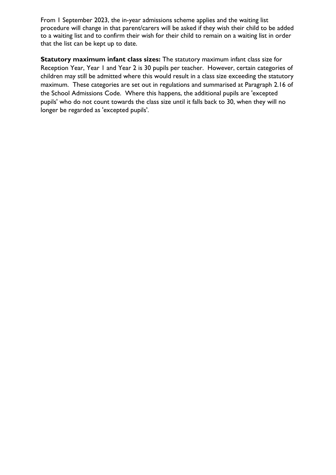From 1 September 2023, the in-year admissions scheme applies and the waiting list procedure will change in that parent/carers will be asked if they wish their child to be added to a waiting list and to confirm their wish for their child to remain on a waiting list in order that the list can be kept up to date.

**Statutory maximum infant class sizes:** The statutory maximum infant class size for Reception Year, Year 1 and Year 2 is 30 pupils per teacher. However, certain categories of children may still be admitted where this would result in a class size exceeding the statutory maximum. These categories are set out in regulations and summarised at Paragraph 2.16 of the School Admissions Code. Where this happens, the additional pupils are 'excepted pupils' who do not count towards the class size until it falls back to 30, when they will no longer be regarded as 'excepted pupils'.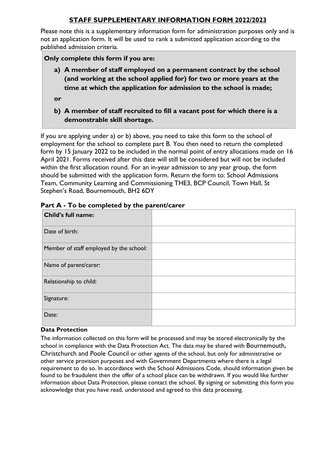## **STAFF SUPPLEMENTARY INFORMATION FORM 2022/2023**

Please note this is a supplementary information form for administration purposes only and is not an application form. It will be used to rank a submitted application according to the published admission criteria.

#### **Only complete this form if you are:**

- **a) A member of staff employed on a permanent contract by the school (and working at the school applied for) for two or more years at the time at which the application for admission to the school is made;**
- **or**
- **b) A member of staff recruited to fill a vacant post for which there is a demonstrable skill shortage.**

If you are applying under a) or b) above, you need to take this form to the school of employment for the school to complete part B. You then need to return the completed form by 15 January 2022 to be included in the normal point of entry allocations made on 16 April 2021. Forms received after this date will still be considered but will not be included within the first allocation round. For an in-year admission to any year group, the form should be submitted with the application form. Return the form to: School Admissions Team, Community Learning and Commissioning THE3, BCP Council, Town Hall, St Stephen's Road, Bournemouth, BH2 6DY

| Child's full name:                      |  |
|-----------------------------------------|--|
| Date of birth:                          |  |
| Member of staff employed by the school: |  |
| Name of parent/carer:                   |  |
| Relationship to child:                  |  |
| Signature:                              |  |
| Date:                                   |  |

#### **Part A - To be completed by the parent/carer**

#### **Data Protection**

The information collected on this form will be processed and may be stored electronically by the school in compliance with the Data Protection Act. The data may be shared with Bournemouth, Christchurch and Poole Council or other agents of the school, but only for administrative or other service provision purposes and with Government Departments where there is a legal requirement to do so. In accordance with the School Admissions Code, should information given be found to be fraudulent then the offer of a school place can be withdrawn. If you would like further information about Data Protection, please contact the school. By signing or submitting this form you acknowledge that you have read, understood and agreed to this data processing.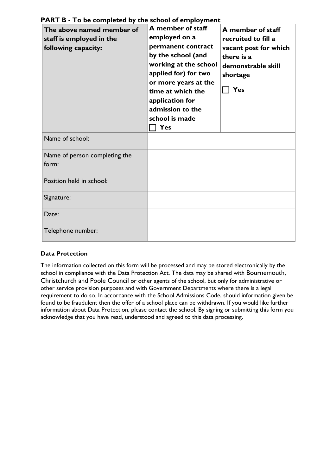| The above named member of<br>staff is employed in the<br>following capacity: | A member of staff<br>employed on a<br>permanent contract<br>by the school (and<br>working at the school<br>applied for) for two<br>or more years at the<br>time at which the<br>application for<br>admission to the<br>school is made<br>Yes | A member of staff<br>recruited to fill a<br>vacant post for which<br>there is a<br>demonstrable skill<br>shortage<br>Yes |
|------------------------------------------------------------------------------|----------------------------------------------------------------------------------------------------------------------------------------------------------------------------------------------------------------------------------------------|--------------------------------------------------------------------------------------------------------------------------|
| Name of school:                                                              |                                                                                                                                                                                                                                              |                                                                                                                          |
| Name of person completing the<br>form:                                       |                                                                                                                                                                                                                                              |                                                                                                                          |
| Position held in school:                                                     |                                                                                                                                                                                                                                              |                                                                                                                          |
| Signature:                                                                   |                                                                                                                                                                                                                                              |                                                                                                                          |
| Date:                                                                        |                                                                                                                                                                                                                                              |                                                                                                                          |
| Telephone number:                                                            |                                                                                                                                                                                                                                              |                                                                                                                          |

## **PART B - To be completed by the school of employment**

#### **Data Protection**

The information collected on this form will be processed and may be stored electronically by the school in compliance with the Data Protection Act. The data may be shared with Bournemouth, Christchurch and Poole Council or other agents of the school, but only for administrative or other service provision purposes and with Government Departments where there is a legal requirement to do so. In accordance with the School Admissions Code, should information given be found to be fraudulent then the offer of a school place can be withdrawn. If you would like further information about Data Protection, please contact the school. By signing or submitting this form you acknowledge that you have read, understood and agreed to this data processing.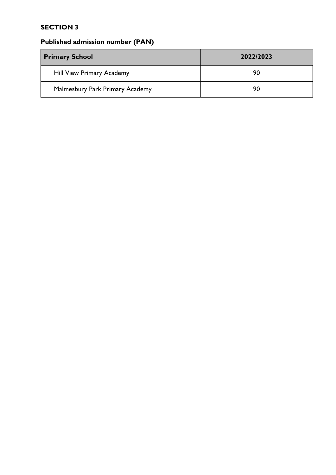## **SECTION 3**

# **Published admission number (PAN)**

| <b>Primary School</b>            | 2022/2023 |  |
|----------------------------------|-----------|--|
| <b>Hill View Primary Academy</b> | 90        |  |
| Malmesbury Park Primary Academy  | 90        |  |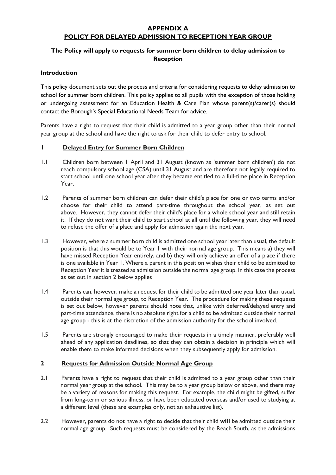#### **APPENDIX A POLICY FOR DELAYED ADMISSION TO RECEPTION YEAR GROUP**

#### **The Policy will apply to requests for summer born children to delay admission to Reception**

#### **Introduction**

This policy document sets out the process and criteria for considering requests to delay admission to school for summer born children. This policy applies to all pupils with the exception of those holding or undergoing assessment for an Education Health & Care Plan whose parent(s)/carer(s) should contact the Borough's Special Educational Needs Team for advice.

Parents have a right to request that their child is admitted to a year group other than their normal year group at the school and have the right to ask for their child to defer entry to school.

#### **1 Delayed Entry for Summer Born Children**

- 1.1 Children born between 1 April and 31 August (known as 'summer born children') do not reach compulsory school age (CSA) until 31 August and are therefore not legally required to start school until one school year after they became entitled to a full-time place in Reception Year.
- 1.2 Parents of summer born children can defer their child's place for one or two terms and/or choose for their child to attend part-time throughout the school year, as set out above. However, they cannot defer their child's place for a whole school year and still retain it. If they do not want their child to start school at all until the following year, they will need to refuse the offer of a place and apply for admission again the next year.
- 1.3 However, where a summer born child is admitted one school year later than usual, the default position is that this would be to Year 1 with their normal age group. This means a) they will have missed Reception Year entirely, and b) they will only achieve an offer of a place if there is one available in Year 1. Where a parent in this position wishes their child to be admitted to Reception Year it is treated as admission outside the normal age group. In this case the process as set out in section 2 below applies
- 1.4 Parents can, however, make a request for their child to be admitted one year later than usual, outside their normal age group, to Reception Year. The procedure for making these requests is set out below, however parents should note that, unlike with deferred/delayed entry and part-time attendance, there is no absolute right for a child to be admitted outside their normal age group - this is at the discretion of the admission authority for the school involved.
- 1.5 Parents are strongly encouraged to make their requests in a timely manner, preferably well ahead of any application deadlines, so that they can obtain a decision in principle which will enable them to make informed decisions when they subsequently apply for admission.

#### **2 Requests for Admission Outside Normal Age Group**

- 2.1 Parents have a right to request that their child is admitted to a year group other than their normal year group at the school. This may be to a year group below or above, and there may be a variety of reasons for making this request. For example, the child might be gifted, suffer from long-term or serious illness, or have been educated overseas and/or used to studying at a different level (these are examples only, not an exhaustive list).
- 2.2 However, parents do not have a right to decide that their child **will** be admitted outside their normal age group. Such requests must be considered by the Reach South, as the admissions